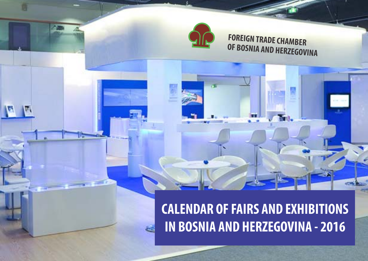

پنج

## **FOREIGN TRADE CHAMBER OF BOSNIA AND HERZEGOVINA**

# **CALENDAR OF FAIRS AND EXHIBITIONS IN BOSNIA AND HERZEGOVINA - 2016**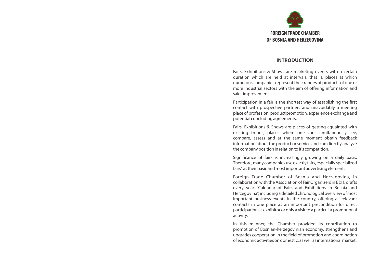

#### **INTRODUCTION**

Fairs, Exhibitions & Shows are marketing events with <sup>a</sup> certain duration which are held at intervals, that is, places at which numerous companies represent their ranges of products of one or more industrial sectors with the aim of offering information and sales improvement.

Participation in <sup>a</sup> fair is the shortest way of establishing the first contact with prospective partners and unavoidably <sup>a</sup> meeting place of profession, product promotion, experience exchange and potential concluding agreements.

Fairs, Exhibitions & Shows are places of getting aquainted with existing trends, places where one can simultaneously see, compare, assess and at the same moment obtain feedback information about the product or service and can directly analyze the company position in relation to it's competition.

Significance of fairs is increasingly growing on <sup>a</sup> daily basis. Therefore, many companies use exactly fairs, especially specialized fairs" as their basic and most important advertising element.

Foreign Trade Chamber of Bosnia and Herzegovina, in collaboration with the Association of Fair Organizers in B&H, drafts every year "Calendar of Fairs and Exhibitions in Bosnia and Herzegovina", including <sup>a</sup> detailed chronological overview of most important business events in the country, offering all relevant contacts in one place as an important precondition for direct participation as exhibitor or only <sup>a</sup> visit to <sup>a</sup> particular promotional activity.

In this manner, the Chamber provided its contribution to promotion of Bosnian-herzegovinian economy, strengthens and upgrades cooperation in the field of promotion and coordination of economic activities on domestic, as well as international market.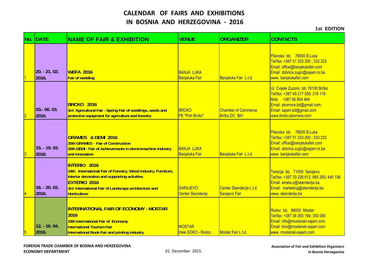| No. DATE                | <b>NAME OF FAIR &amp; EXHIBITION</b>                                                                                                                                                                                                         | <b>VENUE</b>                                | <b>ORGANIZER</b>                           | <b>CONTACTS</b>                                                                                                                                                                        |
|-------------------------|----------------------------------------------------------------------------------------------------------------------------------------------------------------------------------------------------------------------------------------------|---------------------------------------------|--------------------------------------------|----------------------------------------------------------------------------------------------------------------------------------------------------------------------------------------|
| $20. - 21.02.$<br>2016. | <b>WEFA 2016</b><br><b>Fair of wedding</b>                                                                                                                                                                                                   | <b>BANJA LUKA</b><br>Banjaluka Fair         | Banjaluka Fair L.t.d.                      | Pilanska bb, 78000 B.Luka<br>Tel/fax: +387 51 333 200; 333 223<br>Email: office@banjalukafair.com<br>Email: dobrica.zugic@sajam.rs.ba<br>www.banjalukafair.com                         |
| $03 - 06.03$<br>2016.   | BRCKO 2016<br>3rd Agricultural Fair - Spring Fair of seedlings, seeds and<br>protective equipment for agriculture and forestry                                                                                                               | <b>BRCKO</b><br>PE "Port Brcko"             | <b>Chamber of Commerce</b><br>Brčko DC BiH | UI. Cvijete Zuzoric bb; 76100 Brčko<br>Tel/fax: +387 49 217 556; 216 116<br>Mob: +387 66 804 464<br>Email: pkomora.bd@gmail.com;<br>Email: sajam.bd@gmail.com<br>www.brcko-pkomora.com |
| $15. - 19.03.$<br>2016. | <b>GRAMES &amp; DEMI 2016</b><br>20th GRAMES - Fair of Construction<br>20th DEMI - Fair of Achievements in electromachine industry<br>and innovation                                                                                         | <b>BANJA LUKA</b><br>Banjaluka Fair         | Banjaluka Fair L.t.d.                      | Pilanska bb, 78000 B.Luka<br>Tel/fax: +387 51 333 200; 333 223<br>Email: office@banjalukafair.com<br>Email: dobrica.zugic@sajam.rs.ba<br>www.banjalukafair.com                         |
| $16. - 20.03.$<br>2016. | <b>INTERIO 2016</b><br>34th International Fair of Forestry, Wood industry, Furniture,<br>Interior decoration and supporting activities<br><b>EXTERIO 2016</b><br>3rd International Fair of Landscape architecture and<br><b>Horticulture</b> | <b>SARAJEVO</b><br><b>Center Skenderija</b> | Center Skenderija L.t.d.<br>Sarajevo Fair  | Terezija bb, 71000 Sarajevo<br>Tel/fax: +387 33 226 612; 665 293; 445 156<br>Email: amela.o@skenderija.ba<br>Email: marketing@skenderija.ba<br>www.skenderija.ba                       |
| $12. - 16.04.$<br>2016. | <b>INTERNATIONAL FAIR OF ECONOMY - MOSTAR</b><br>2016<br>19th International Fair of Economy<br><b>International Tourism Fair</b><br><b>International Book Fair and printing industry</b>                                                     | <b>MOSTAR</b><br>Hale SOKO - Rodoc          | Mostar Fair L.t.d.                         | Rodoc bb, 88000 Mostar<br>Tel/fax: +387 36 350 194; 350 080<br>Email: info@mostarski-sajam.com<br>Email: biro@mostarski-sajam.com<br>www. mostarski-sajam.com                          |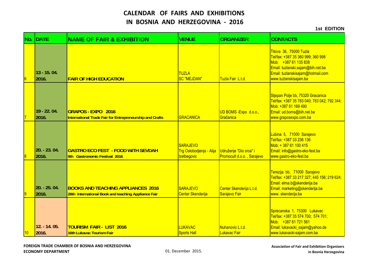|                | No. IDATE              | <b>NAME OF FAIR &amp; EXHIBITION</b>                                                             | <b>VENUE</b>                                                      | <b>ORGANIZER</b>                                     | <b>CONTACTS</b>                                                                                                                                                                        |
|----------------|------------------------|--------------------------------------------------------------------------------------------------|-------------------------------------------------------------------|------------------------------------------------------|----------------------------------------------------------------------------------------------------------------------------------------------------------------------------------------|
| 6              | 13 - 15, 04.<br>2016.  | <b>FAIR OF HIGH EDUCATION</b>                                                                    | <b>TUZLA</b><br><b>SC "MEJDAN"</b>                                | Tuzla Fair L.t.d.                                    | Titova 36, 75000 Tuzla<br>Tel/fax: +387 35 360 999; 360 998<br>Mob: +387 61 135 838<br>Email: tuzlanski.sajam@bih.net.ba<br>Email: tuzlanskisajam@hotmail.com<br>www.tuzlanskisajam.ba |
|                | 19 - 22.04.<br>2016.   | <b>GRAPOS - EXPO 2016</b><br><b>International Trade Fair for Entrepreneurship and Crafts</b>     | GRACANICA                                                         | UD BOMS - Expo d.o.o.,<br>Gračanica                  | Stjepan Polje bb, 75320 Gracanica<br>Tel/fax: +387 35 783 040; 783 042; 792 344;<br>Mob: +387 61 169 490<br>Email: ud.boms@bih.net.ba<br>www.graposexpo.com.ba                         |
|                | 20. - 23. 04.<br>2016. | <b>GASTRO ECO FEST - FOOD WITH SEVDAH</b><br>9th Gastronomic Festival 2016                       | <b>SARAJEVO</b><br>Trg Oslobodjenja - Alija<br><b>Izetbegovic</b> | Udruženje "Dio srca" i<br>Promocult d.o.o., Sarajevo | Lubina 5, 71000 Sarajevo<br>Tel/fax: +387 33 236 136<br>Mob: + 387 61 100 415<br>Email: info@gastro-eko-fest.ba<br>www.gastro-eko-fest.ba                                              |
| $\overline{9}$ | 20. - 25. 04.<br>2016. | <b>BOOKS AND TEACHING APPLIANCES 2016</b><br>28th International Book and teaching Appliance Fair | <b>SARAJEVO</b><br>Center Skenderija                              | Center Skenderija L.t.d.<br>Sarajevo Fair            | Terezija bb, 71000 Sarajevo<br>Tel/fax: +387 33 217 327; 445 156; 219 624;<br>Email: elma.b@skenderija.ba<br>Email: marketing@skenderija.ba<br>www.skenderija.ba                       |
| 10             | 12. - 14. 05.<br>2016. | <b>TOURISM FAIR - LIST 2016</b><br>16th Lukavac Tourism Fair                                     | <b>LUKAVAC</b><br><b>Sports Hall</b>                              | Nuhanovic L.t.d.<br>Lukavac Fair                     | Sprecanska 1, 75300 Lukavac<br>Tel/fax: +387 35 574 700; 574 701;<br>Mob: +387 61 721 561<br>Email: lukavacki_sajam@yahoo.de<br>www.lukavacki-sajam.com.ba                             |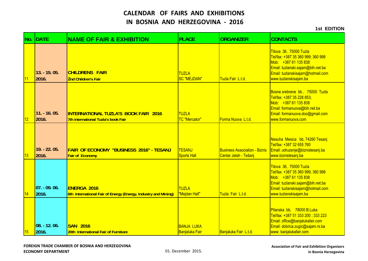|    | No. IDATE                | <b>NAME OF FAIR &amp; EXHIBITION</b>                                                 | <b>PLACE</b>                               | <b>ORGANIZER</b>                                              | <b>CONTACTS</b>                                                                                                                                                                        |
|----|--------------------------|--------------------------------------------------------------------------------------|--------------------------------------------|---------------------------------------------------------------|----------------------------------------------------------------------------------------------------------------------------------------------------------------------------------------|
| 11 | $13. - 15.05.$<br>2016.  | <b>CHILDRENS FAIR</b><br><b>2nd Children's Fair</b>                                  | <b>TUZLA</b><br><b>SC "MEJDAN"</b>         | Tuzla Fair L.t.d.                                             | Titova 36, 75000 Tuzla<br>Tel/fax: +387 35 360 999; 360 998<br>Mob: +387 61 135 838<br>Email: tuzlanski.sajam@bih.net.ba<br>Email: tuzlanskisajam@hotmail.com<br>www.tuzlanskisajam.ba |
| 12 | $11. - 16. 05.$<br>2016. | <b>INTERNATIONAL TUZLA'S BOOK FAIR 2016</b><br>7th international Tuzla's book Fair   | <b>TUZLA</b><br>TC "Mercator"              | Forma Nuova L.t.d.                                            | Bosne srebrene bb, 75000 Tuzla<br>Tel/fax: +387 35 228 853;<br>Mob: +387 61 135 838<br>Email: formanuova@bih.net.ba<br>Email: formanuova.doo@gmail.com<br>www.formanuova.com           |
| 13 | $19. - 22.05.$<br>2016.  | <b>FAIR OF ECONOMY "BUSINESS 2016" - TESANJ</b><br><b>Fair of Economy</b>            | TESANJ<br><b>Sports Hall</b>               | <b>Business Association - Biznis</b><br>Centar Jelah - Tešanj | Nesuha Mesica bb, 74260 Tesanj<br>Tel/fax: +387 32 655 760<br>Email: udruzenje@biznistesanj.ba<br>www.biznistesanj.ba                                                                  |
| 14 | $07. -09.06.$<br>2016.   | <b>ENERGA 2016</b><br>6th International Fair of Energy (Energy, Industry and Mining) | <b>TUZLA</b><br>"Mejdan Hall"              | Tuzla Fair L.t.d.                                             | Titova 36, 75000 Tuzla<br>Tel/fax: +387 35 360 999; 360 998<br>Mob: +387 61 135 838<br>Email: tuzlanski.sajam@bih.net.ba<br>Email: tuzlanskisajam@hotmail.com<br>www.tuzlanskisajam.ba |
| 15 | 08. - 12. 06.<br>2016.   | <b>SAN 2016</b><br>20th International Fair of Furniture                              | <b>BANJA LUKA</b><br><b>Banjaluka Fair</b> | Banjaluka Fair L.t.d.                                         | Pilanska bb, 78000 B.Luka<br>Tel/fax: +387 51 333 200; 333 223<br>Email: office@banjalukafair.com<br>Email: dobrica.zugic@sajam.rs.ba<br>www.banjalukafair.com                         |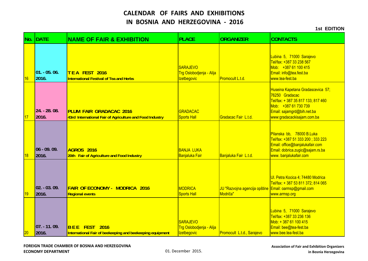| No.       | <b>IDATE</b>            | <b>NAME OF FAIR &amp; EXHIBITION</b>                                                       | <b>PLACE</b>                                                      | <b>ORGANIZER</b>                          | <b>CONTACTS</b>                                                                                                                                                               |
|-----------|-------------------------|--------------------------------------------------------------------------------------------|-------------------------------------------------------------------|-------------------------------------------|-------------------------------------------------------------------------------------------------------------------------------------------------------------------------------|
| 16        | $01. - 05.06.$<br>2016. | TEA FEST 2016<br><b>International Festival of Tea and Herbs</b>                            | <b>SARAJEVO</b><br>Trg Oslobodjenja - Alija<br><b>Izetbegovic</b> | Promocult L.t.d.                          | Lubina 5, 71000 Sarajevo<br>Tel/fax: +387 33 238 567<br>Mob: +387 61 100 415<br>Email: info@tea.fest.ba<br>www.tea-fest.ba                                                    |
| 17        | 24. - 28. 08.<br>2016.  | <b>PLUM FAIR GRADACAC 2016</b><br>43rd International Fair of Agriculture and Food Industry | <b>GRADACAC</b><br><b>Sports Hall</b>                             | Gradacac Fair L.t.d.                      | Huseina Kapetana Gradascevica 57;<br>76250 Gradacac<br>Tel/fax: + 387 35 817 133; 817 460<br>Mob: +387 61 730 739<br>Email: sajamgrd@bih.net.ba<br>www:gradacackisajam.com.ba |
| 18        | $06 - 09.09.$<br>2016.  | AGROS 2016<br>20th Fair of Agriculture and Food Industry                                   | <b>BANJA LUKA</b><br>Banjaluka Fair                               | Banjaluka Fair L.t.d.                     | Pilanska bb, 78000 B.Luka<br>Tel/fax: +387 51 333 200 ; 333 223<br>Email: office@banjalukafair.com<br>Email: dobrica.zugic@sajam.rs.ba<br>www.banjalukafair.com               |
| <b>19</b> | $02. -03.09.$<br>2016.  | <b>FAIR OF ECONOMY - MODRICA 2016</b><br><b>Regional events</b>                            | MODRICA<br><b>Sports Hall</b>                                     | JU "Razvojna agencija opštine<br>Modriča" | Ul. Petra Kocica 4; 74480 Modrica<br>Tel/fax: + 387 53 811 372; 814 065<br>Email: oarmsp@gmail.com<br>www.armsp.org                                                           |
| 20        | $07. - 11.09.$<br>2016. | BEE FEST 2016<br>International Fair of beekeeping and beekeeping equipment                 | <b>SARAJEVO</b><br>Trg Oslobodjenja - Alija<br><b>Izetbegovic</b> | Promocult L.t.d., Sarajevo                | Lubina 5, 71000 Sarajevo<br>Tel/fax: +387 33 236 136<br>Mob: +387 61 100 415<br>Email: bee@tea-fest.ba<br>www.bee.tea-fest.ba                                                 |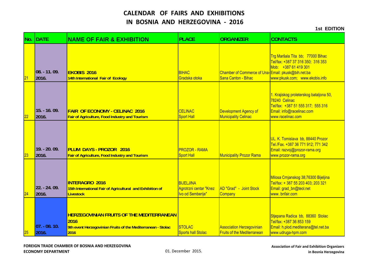| No.             | <b>IDATE</b>              | <b>NAME OF FAIR &amp; EXHIBITION</b>                                                                                             | <b>PLACE</b>                                                    | <b>ORGANIZER</b>                                                          | <b>CONTACTS</b>                                                                                                                                 |
|-----------------|---------------------------|----------------------------------------------------------------------------------------------------------------------------------|-----------------------------------------------------------------|---------------------------------------------------------------------------|-------------------------------------------------------------------------------------------------------------------------------------------------|
| $\overline{21}$ | $08. - 11.09.$<br>2016.   | <b>EKOBIS 2016</b><br>14th International Fair of Ecology                                                                         | <b>BIHAC</b><br>Gradska otoka                                   | Chamber of Commerce of Una-Email: pkusk@bih.net.ba<br>Sana Canton - Bihac | Trg Maršala Tita bb; 77000 Bihac<br>Tel/fax: +387 37 316 350; 316 353<br>Mob: +387 61 419 301<br>www:pkusk.com; www.ekobis.info                 |
| 22              | $15. - 16.09.$<br>2016.   | <b>FAIR OF ECONOMY - CELINAC 2016</b><br>Fair of Agriculture, Food Industry and Tourism                                          | <b>CELINAC</b><br><b>Sport Hall</b>                             | Development Agency of<br><b>Municipality Celinac</b>                      | 1. Krajiskog proleterskog bataljona 50,<br>78240 Celinac<br>Tel/fax: +387 51 555 317; 555 316<br>Email: info@racelinac.com<br>www.racelinac.com |
| 23              | 19. - 20. 09.<br>2016.    | <b>PLUM DAYS - PROZOR 2016</b><br>Fair of Agriculture, Food Industry and Tourism                                                 | <b>PROZOR - RAMA</b><br><b>Sport Hall</b>                       | <b>Municipality Prozor Rama</b>                                           | UL. K. Tomislava bb, 88440 Prozor<br>Tel./Fax. +387 36 771 912; 771 342<br>Email: razvoj@prozor-rama.org<br>www.prozor-rama.org                 |
| 24              | 22. - 24. 09.<br>2016.    | <b>INTERAGRO 2016</b><br>15th International Fair of Agricultural and Exhibition of<br><b>Livestock</b>                           | <b>BIJELJINA</b><br>Agrotrzni centar "Knez<br>Ivo od Semberije" | AD "Grad" - Joint Stock<br>Company                                        | Milosa Crnjanskog 38;76300 Bijeljina<br>Tel/fax: + 387 55 203 403; 203 321<br>Email: grad_bn@teol.net<br>www.bnfair.com                         |
| 25              | $ 07. - 08. 10.$<br>2016. | <b>HERZEGOVINIAN FRUITS OF THE MEDITERRANEAN</b><br>2016<br>9th event Herzegovinian Fruits of the Mediterranean - Stolac<br>2016 | <b>STOLAC</b><br><b>Sports hall Stolac</b>                      | <b>Association Herzegovinian</b><br><b>Fruits of the Mediterranean</b>    | Stjepana Radica bb, 88360 Stolac<br>Tel/fax: +387 36 853 159<br>Email: h.plod.mediterana@tel.net.ba<br>www.udruga-hpm.com                       |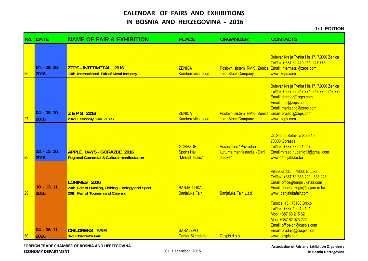#### **1st EDITION**

| No.             | <b>DATE</b>               | <b>NAME OF FAIR &amp; EXHIBITION</b>                                                                  | <b>PLACE</b>                                           | <b>ORGANIZER</b>                                                              | <b>CONTACTS</b>                                                                                                                                                                             |
|-----------------|---------------------------|-------------------------------------------------------------------------------------------------------|--------------------------------------------------------|-------------------------------------------------------------------------------|---------------------------------------------------------------------------------------------------------------------------------------------------------------------------------------------|
| 26              | $04. -08. 10.$<br>2016.   | ZEPS-INTERMETAL 2016<br>13th International Fair of Metal Industry                                     | <b>ZENICA</b><br>Kamberovića polje                     | Poslovni sistem RMK Zenica Email: intermetal@zeps.com;<br>Joint Stock Company | Bulevar Kralja Tvrtka I br.17, 72000 Zenica<br>Tel/fax.+ 387 32 440 251; 247 773,<br>www. zeps.com                                                                                          |
| 27              | $ 04. - 08. 10.$<br>2016. | <b>ZEPS 2016</b><br>23rd Economy Fair ZEPS                                                            | <b>ZENICA</b><br>Kamberovića polje                     | Poslovni sistem RMK Zenica Email: project@zeps.com<br>Joint Stock Company     | Bulevar Kralja Tvrtka I br.17, 72000 Zenica<br>Tel/fax.+ 387 32 247 774; 247 770; 247 773<br>Email: director@zeps.com<br>Email: info@zeps.com<br>Email: marketing@zeps.com<br>www. zeps.com |
| 28              | $13. - 15. 10.$<br>2016.  | <b>APPLE DAYS - GORAZDE 2016</b><br><b>Regional Comercial &amp; Cultural manifestation</b>            | <b>GORAZDE</b><br><b>Sports Hall</b><br>"Mirsad Hukic" | <b>Association "Privredno</b><br>kulturna manifestacija - Dani<br>iabuke"     | UI. Seada Sofovica Sofe 10;<br>73000 Gorazde<br>Tel/fax: +387 38 221 067<br>Email:mirsad.hubanic13@gmail.com<br>www.dani-jabuke.ba                                                          |
| 29              | $10. - 13. 11.$<br>2016.  | LORIMES 2016<br>20th Fair of Hunting, Fishing, Ecology and Sport<br>20th Fair of Tourism and Catering | <b>BANJA LUKA</b><br>Banjaluka Fair                    | Banjaluka Fair L.t.d.                                                         | Pilanska bb, 78000 B.Luka<br>Tel/fax: +387 51 333 200; 333 223<br>Email: office@banjalukafair.com<br>Email: dobrica.zugic@sajam.rs.ba<br>www.banjalukafair.com                              |
| 30 <sub>2</sub> | $ 04. - 06. 11.$<br>2016. | <b>CHILDRENS FAIR</b><br>3rd Children's Fair                                                          | <b>SARAJEVO</b><br>Center Skenderija                   | Cuspis d.o.o                                                                  | Tursica 15, 76100 Brcko<br>Tel/fax: +387 49 215 191<br>Mob: +387 63 215 621<br>Mob. +387 62 073 222<br>Email: office-bh@cuspis.com<br>Email: prodaja@cuspis.com<br>www.cuspis.com           |

**FOREIGN TRADE CHAMBER OF BOSNIA AND HERZEGOVINA ECONOMY**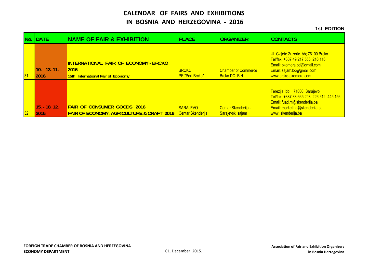|                 | No. DATE                 | <b>NAME OF FAIR &amp; EXHIBITION</b>                                                       | <b>PLACE</b>                                | <b>ORGANIZER</b>                                  | <b>ICONTACTS</b>                                                                                                                                                |
|-----------------|--------------------------|--------------------------------------------------------------------------------------------|---------------------------------------------|---------------------------------------------------|-----------------------------------------------------------------------------------------------------------------------------------------------------------------|
| 31              | $10. - 13. 11.$<br>2016. | INTERNATIONAL FAIR OF ECONOMY - BRCKO<br><b>2016</b><br>15th International Fair of Economy | <b>BRCKO</b><br><b>IPE "Port Brcko"</b>     | <b>Chamber of Commerce</b><br><b>Brcko DC BiH</b> | UI. Cvijete Zuzoric bb; 76100 Brcko<br>Tel/fax: +387 49 217 556; 216 116<br>Email: pkomora.bd@gmail.com<br>Email: sajam.bd@gmail.com<br>www.brcko-pkomora.com   |
| 32 <sub>2</sub> | $15. - 18. 12.$<br>2016. | <b>FAIR OF CONSUMER GOODS 2016</b><br><b>FAIR OF ECONOMY, AGRICULTURE &amp; CRAFT 2016</b> | <b>SARAJEVO</b><br><b>Centar Skenderija</b> | <b>Centar Skenderija -</b><br>Sarajevski sajam    | Terezija bb, 71000 Sarajevo<br>Tel/fax: +387 33 665 293; 226 612; 445 156<br>Email: fuad.m@skenderija.ba<br>Email: marketing@skenderija.ba<br>www.skenderija.ba |